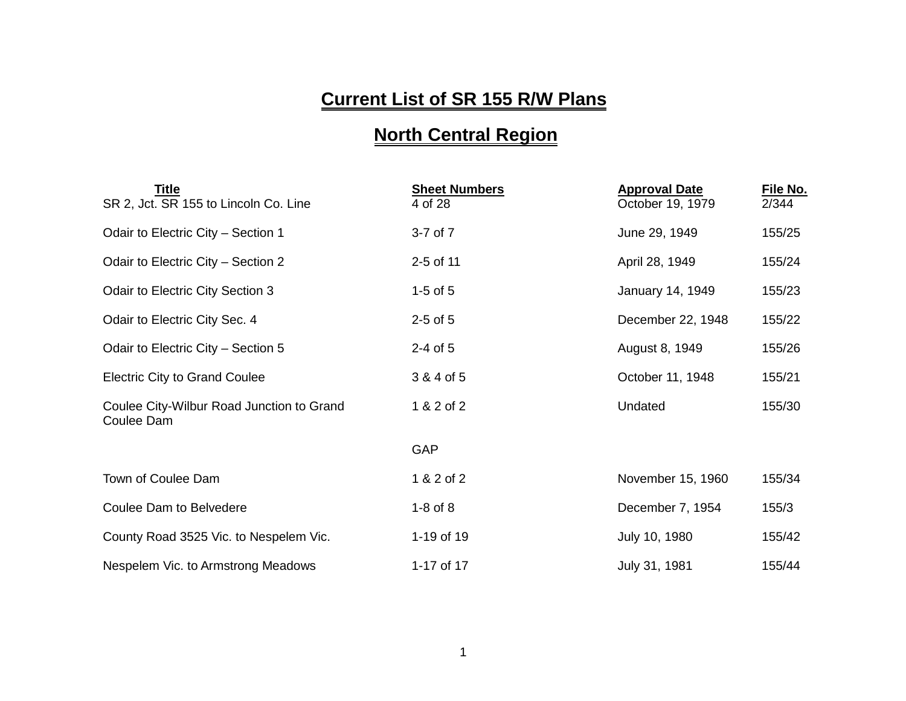## **Current List of SR 155 R/W Plans**

## **North Central Region**

| Title<br>SR 2, Jct. SR 155 to Lincoln Co. Line          | <b>Sheet Numbers</b><br>4 of 28 | <b>Approval Date</b><br>October 19, 1979 | File No.<br>2/344 |
|---------------------------------------------------------|---------------------------------|------------------------------------------|-------------------|
| Odair to Electric City - Section 1                      | $3-7$ of $7$                    | June 29, 1949                            | 155/25            |
| Odair to Electric City - Section 2                      | 2-5 of 11                       | April 28, 1949                           | 155/24            |
| Odair to Electric City Section 3                        | $1-5$ of $5$                    | January 14, 1949                         | 155/23            |
| Odair to Electric City Sec. 4                           | $2-5$ of $5$                    | December 22, 1948                        | 155/22            |
| Odair to Electric City - Section 5                      | $2-4$ of 5                      | August 8, 1949                           | 155/26            |
| <b>Electric City to Grand Coulee</b>                    | 3 & 4 of 5                      | October 11, 1948                         | 155/21            |
| Coulee City-Wilbur Road Junction to Grand<br>Coulee Dam | 1 & 2 of 2                      | Undated                                  | 155/30            |
|                                                         | <b>GAP</b>                      |                                          |                   |
| Town of Coulee Dam                                      | 1 & 2 of 2                      | November 15, 1960                        | 155/34            |
| Coulee Dam to Belvedere                                 | $1-8$ of $8$                    | December 7, 1954                         | 155/3             |
| County Road 3525 Vic. to Nespelem Vic.                  | 1-19 of 19                      | July 10, 1980                            | 155/42            |
| Nespelem Vic. to Armstrong Meadows                      | 1-17 of 17                      | July 31, 1981                            | 155/44            |